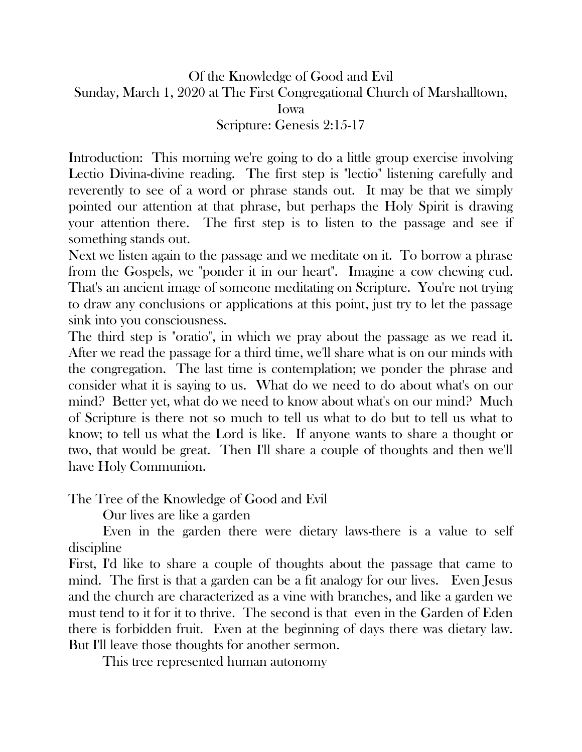Of the Knowledge of Good and Evil Sunday, March 1, 2020 at The First Congregational Church of Marshalltown, Iowa Scripture: Genesis 2:15-17

Introduction: This morning we're going to do a little group exercise involving Lectio Divina-divine reading. The first step is "lectio" listening carefully and reverently to see of a word or phrase stands out. It may be that we simply pointed our attention at that phrase, but perhaps the Holy Spirit is drawing your attention there. The first step is to listen to the passage and see if something stands out.

Next we listen again to the passage and we meditate on it. To borrow a phrase from the Gospels, we "ponder it in our heart". Imagine a cow chewing cud. That's an ancient image of someone meditating on Scripture. You're not trying to draw any conclusions or applications at this point, just try to let the passage sink into you consciousness.

The third step is "oratio", in which we pray about the passage as we read it. After we read the passage for a third time, we'll share what is on our minds with the congregation. The last time is contemplation; we ponder the phrase and consider what it is saying to us. What do we need to do about what's on our mind? Better yet, what do we need to know about what's on our mind? Much of Scripture is there not so much to tell us what to do but to tell us what to know; to tell us what the Lord is like. If anyone wants to share a thought or two, that would be great. Then I'll share a couple of thoughts and then we'll have Holy Communion.

The Tree of the Knowledge of Good and Evil

Our lives are like a garden

Even in the garden there were dietary laws-there is a value to self discipline

First, I'd like to share a couple of thoughts about the passage that came to mind. The first is that a garden can be a fit analogy for our lives. Even Jesus and the church are characterized as a vine with branches, and like a garden we must tend to it for it to thrive. The second is that even in the Garden of Eden there is forbidden fruit. Even at the beginning of days there was dietary law. But I'll leave those thoughts for another sermon.

This tree represented human autonomy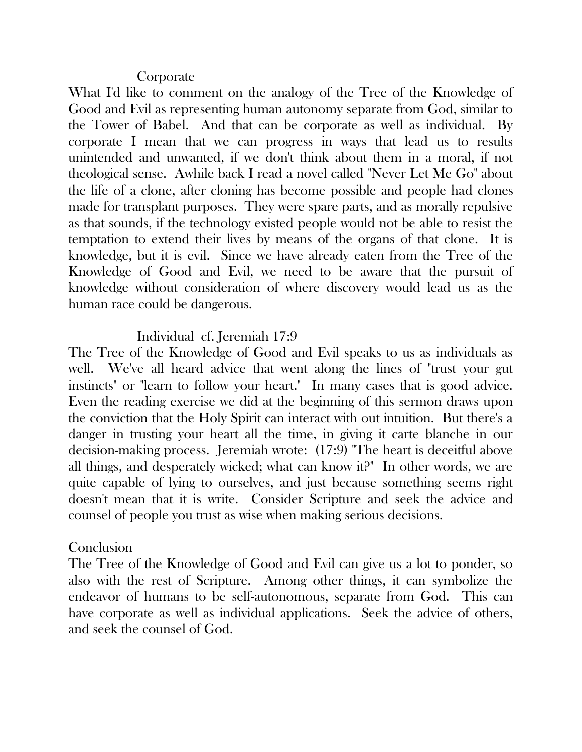## **Corporate**

What I'd like to comment on the analogy of the Tree of the Knowledge of Good and Evil as representing human autonomy separate from God, similar to the Tower of Babel. And that can be corporate as well as individual. By corporate I mean that we can progress in ways that lead us to results unintended and unwanted, if we don't think about them in a moral, if not theological sense. Awhile back I read a novel called "Never Let Me Go" about the life of a clone, after cloning has become possible and people had clones made for transplant purposes. They were spare parts, and as morally repulsive as that sounds, if the technology existed people would not be able to resist the temptation to extend their lives by means of the organs of that clone. It is knowledge, but it is evil. Since we have already eaten from the Tree of the Knowledge of Good and Evil, we need to be aware that the pursuit of knowledge without consideration of where discovery would lead us as the human race could be dangerous.

## Individual cf. Jeremiah 17:9

The Tree of the Knowledge of Good and Evil speaks to us as individuals as well. We've all heard advice that went along the lines of "trust your gut instincts" or "learn to follow your heart." In many cases that is good advice. Even the reading exercise we did at the beginning of this sermon draws upon the conviction that the Holy Spirit can interact with out intuition. But there's a danger in trusting your heart all the time, in giving it carte blanche in our decision-making process. Jeremiah wrote: (17:9) "The heart is deceitful above all things, and desperately wicked; what can know it?" In other words, we are quite capable of lying to ourselves, and just because something seems right doesn't mean that it is write. Consider Scripture and seek the advice and counsel of people you trust as wise when making serious decisions.

## **Conclusion**

The Tree of the Knowledge of Good and Evil can give us a lot to ponder, so also with the rest of Scripture. Among other things, it can symbolize the endeavor of humans to be self-autonomous, separate from God. This can have corporate as well as individual applications. Seek the advice of others, and seek the counsel of God.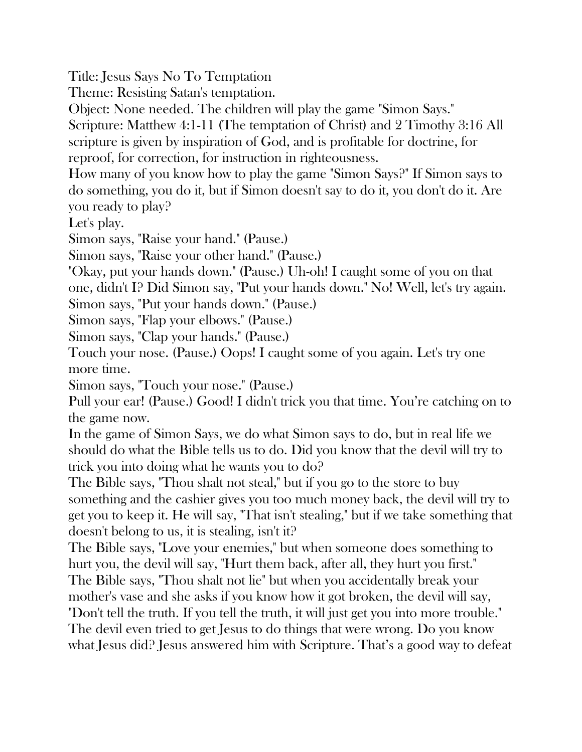Title: Jesus Says No To Temptation

Theme: Resisting Satan's temptation.

Object: None needed. The children will play the game "Simon Says."

Scripture: Matthew 4:1-11 (The temptation of Christ) and 2 Timothy 3:16 All scripture is given by inspiration of God, and is profitable for doctrine, for reproof, for correction, for instruction in righteousness.

How many of you know how to play the game "Simon Says?" If Simon says to do something, you do it, but if Simon doesn't say to do it, you don't do it. Are you ready to play?

Let's play.

Simon says, "Raise your hand." (Pause.)

Simon says, "Raise your other hand." (Pause.)

"Okay, put your hands down." (Pause.) Uh-oh! I caught some of you on that

one, didn't I? Did Simon say, "Put your hands down." No! Well, let's try again.

Simon says, "Put your hands down." (Pause.)

Simon says, "Flap your elbows." (Pause.)

Simon says, "Clap your hands." (Pause.)

Touch your nose. (Pause.) Oops! I caught some of you again. Let's try one more time.

Simon says, "Touch your nose." (Pause.)

Pull your ear! (Pause.) Good! I didn't trick you that time. You're catching on to the game now.

In the game of Simon Says, we do what Simon says to do, but in real life we should do what the Bible tells us to do. Did you know that the devil will try to trick you into doing what he wants you to do?

The Bible says, "Thou shalt not steal," but if you go to the store to buy something and the cashier gives you too much money back, the devil will try to get you to keep it. He will say, "That isn't stealing," but if we take something that doesn't belong to us, it is stealing, isn't it?

The Bible says, "Love your enemies," but when someone does something to hurt you, the devil will say, "Hurt them back, after all, they hurt you first." The Bible says, "Thou shalt not lie" but when you accidentally break your

mother's vase and she asks if you know how it got broken, the devil will say,

"Don't tell the truth. If you tell the truth, it will just get you into more trouble." The devil even tried to get Jesus to do things that were wrong. Do you know what Jesus did? Jesus answered him with Scripture. That's a good way to defeat